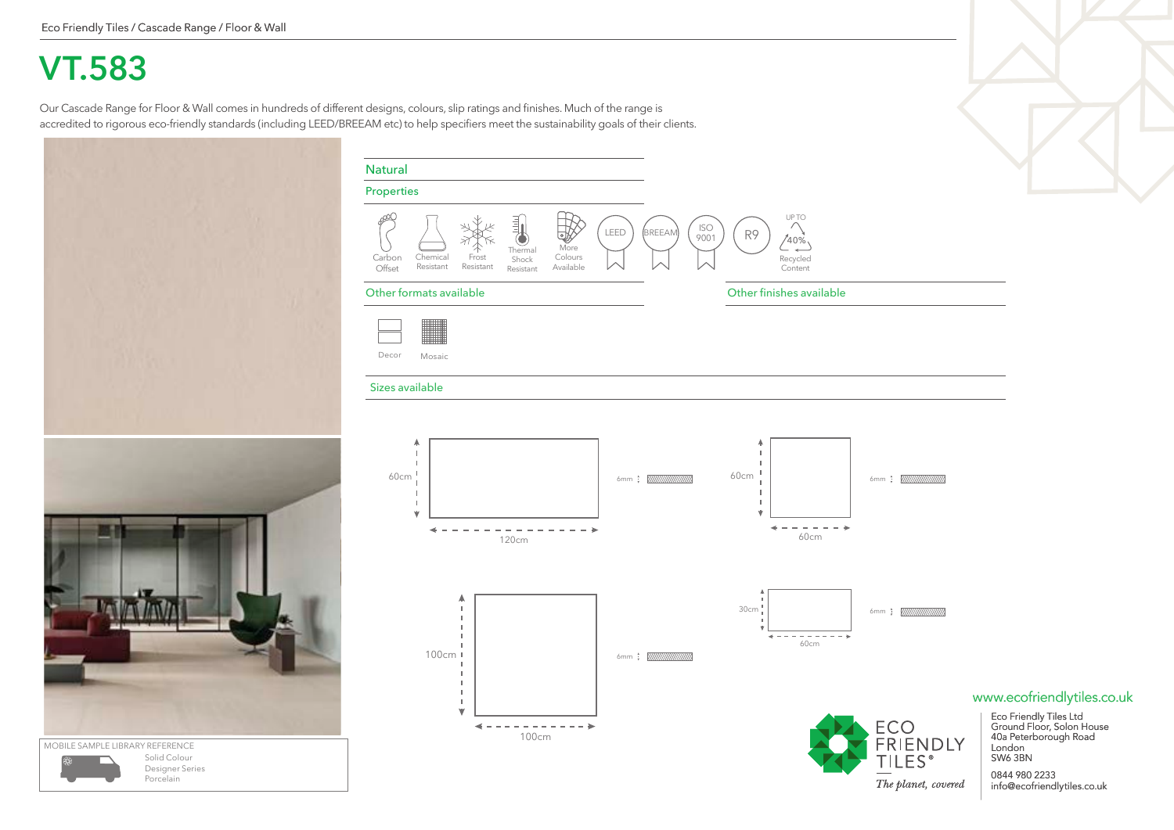## **VT.583**

Our Cascade Range for Floor & Wall comes in hundreds of different designs, colours, slip ratings and finishes. Much of the range is accredited to rigorous eco-friendly standards (including LEED/BREEAM etc) to help specifiers meet the sustainability goals of their clients.



Porcelain

| <b>Natural</b>                                                                                                                                                                                                                                                              | $\blacktriangledown$                                                                                                                             |
|-----------------------------------------------------------------------------------------------------------------------------------------------------------------------------------------------------------------------------------------------------------------------------|--------------------------------------------------------------------------------------------------------------------------------------------------|
| Properties                                                                                                                                                                                                                                                                  |                                                                                                                                                  |
| UP TO<br>ഛി<br>動<br>$\curvearrowright$<br><b>ISO</b><br><b>BREEAM</b><br>LEED<br>R9<br>嘭<br>9001<br>c<br>$740\%$<br>More<br>Thermal<br>Chemical<br>Frost<br>Colours<br>Carbon<br>Recycled<br>Shock<br>Resistant<br>Resistant<br>Available<br>Offset<br>Content<br>Resistant |                                                                                                                                                  |
| Other finishes available<br>Other formats available                                                                                                                                                                                                                         |                                                                                                                                                  |
| <u> - 11 March 1999</u><br>Decor<br>Mosaic                                                                                                                                                                                                                                  |                                                                                                                                                  |
| Sizes available                                                                                                                                                                                                                                                             |                                                                                                                                                  |
| ٨<br>4<br>I.<br>п.<br>$\mathbf{I}$<br>$\mathbf{I}$<br>-1<br>J.<br>60cm<br>60cm<br>I<br>I.<br>$\overline{\phantom{a}}$<br>J.<br>Ý<br>₩<br>60cm<br>120cm                                                                                                                      |                                                                                                                                                  |
| ٨<br>30cm<br>T.<br>$\blacksquare$<br>H.<br>--------<br>J.<br>٠<br>60cm<br>H.<br>100cm  <br>J.<br>п                                                                                                                                                                          |                                                                                                                                                  |
| H.<br>$\blacksquare$<br>L.<br>v<br>ECO<br>FRIENDLY<br>4<br>$\equiv$<br>$\sim$<br>100cm<br><b>TILES</b> <sup>®</sup>                                                                                                                                                         | www.ecofriendlytiles.co.uk<br>Eco Friendly Tiles Ltd<br>Ground Floor, Solon House<br>40a Peterborough Road<br>London<br>SW6 3BN<br>CECC OBO NNRO |



0844 980 2233 info@ecofriendlytiles.co.uk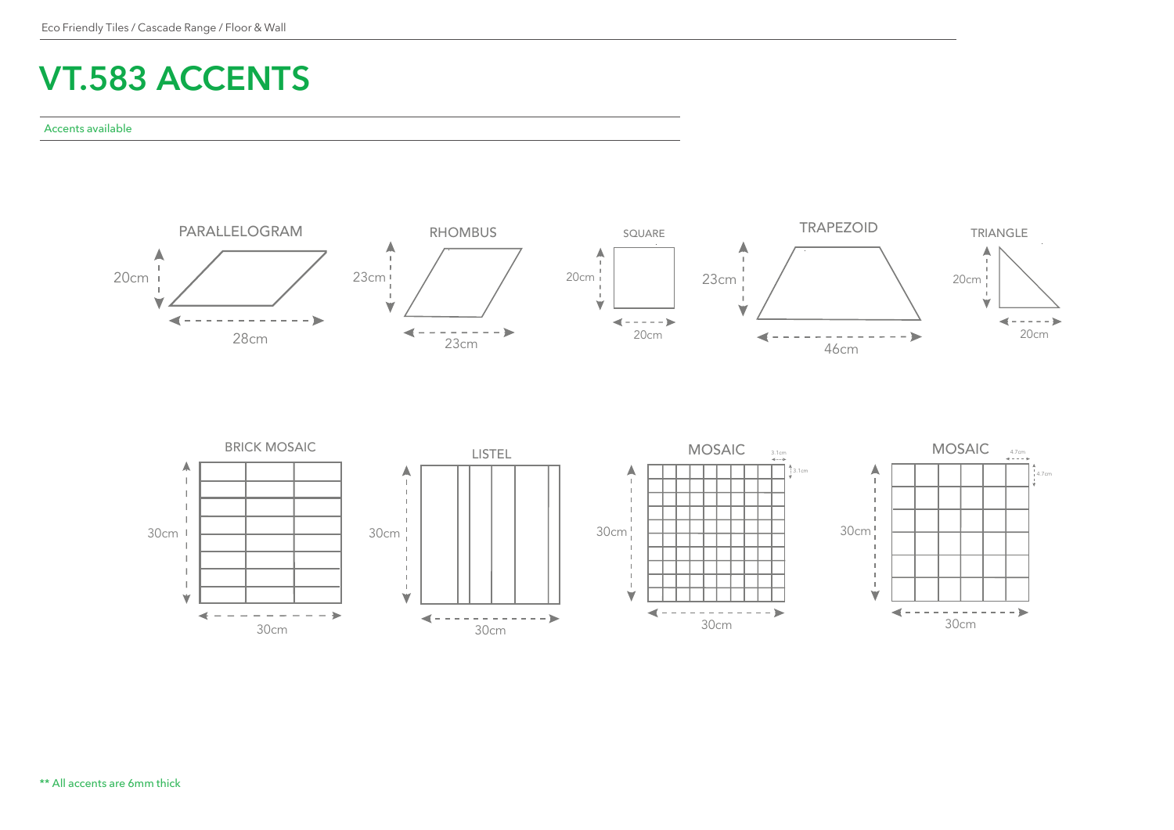## **VT.583 ACCENTS**

## Accents available